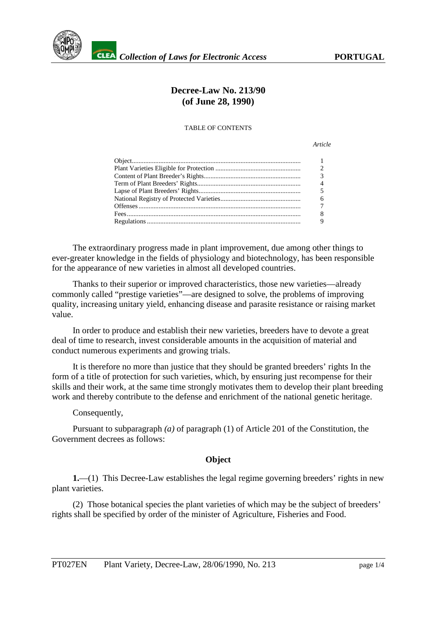

# **Decree-Law No. 213/90 (of June 28, 1990)**

#### TABLE OF CONTENTS

*Article*

| $\overline{2}$ |
|----------------|
| $\overline{3}$ |
| $\overline{4}$ |
| -5             |
| 6              |
| $\overline{7}$ |
| -8             |
| - 9            |
|                |

The extraordinary progress made in plant improvement, due among other things to ever-greater knowledge in the fields of physiology and biotechnology, has been responsible for the appearance of new varieties in almost all developed countries.

Thanks to their superior or improved characteristics, those new varieties—already commonly called "prestige varieties"—are designed to solve, the problems of improving quality, increasing unitary yield, enhancing disease and parasite resistance or raising market value.

In order to produce and establish their new varieties, breeders have to devote a great deal of time to research, invest considerable amounts in the acquisition of material and conduct numerous experiments and growing trials.

It is therefore no more than justice that they should be granted breeders' rights In the form of a title of protection for such varieties, which, by ensuring just recompense for their skills and their work, at the same time strongly motivates them to develop their plant breeding work and thereby contribute to the defense and enrichment of the national genetic heritage.

#### Consequently,

Pursuant to subparagraph *(a)* of paragraph (1) of Article 201 of the Constitution, the Government decrees as follows:

### **Object**

**1.**—(1) This Decree-Law establishes the legal regime governing breeders' rights in new plant varieties.

(2) Those botanical species the plant varieties of which may be the subject of breeders' rights shall be specified by order of the minister of Agriculture, Fisheries and Food.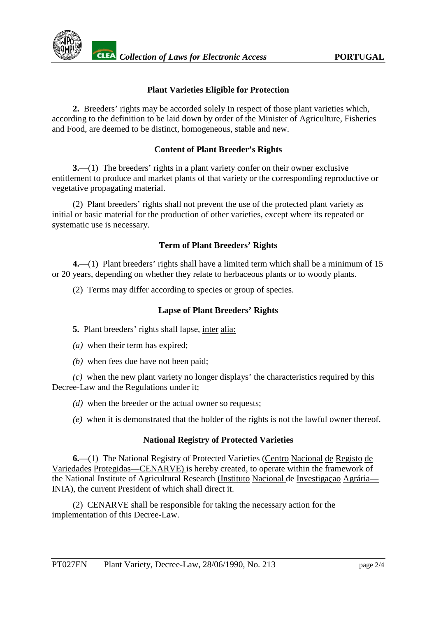

## **Plant Varieties Eligible for Protection**

**2.** Breeders' rights may be accorded solely In respect of those plant varieties which, according to the definition to be laid down by order of the Minister of Agriculture, Fisheries and Food, are deemed to be distinct, homogeneous, stable and new.

## **Content of Plant Breeder's Rights**

**3.**—(1) The breeders' rights in a plant variety confer on their owner exclusive entitlement to produce and market plants of that variety or the corresponding reproductive or vegetative propagating material.

(2) Plant breeders' rights shall not prevent the use of the protected plant variety as initial or basic material for the production of other varieties, except where its repeated or systematic use is necessary.

## **Term of Plant Breeders' Rights**

**4.**—(1) Plant breeders' rights shall have a limited term which shall be a minimum of 15 or 20 years, depending on whether they relate to herbaceous plants or to woody plants.

(2) Terms may differ according to species or group of species.

## **Lapse of Plant Breeders' Rights**

**5.** Plant breeders' rights shall lapse, inter alia:

- *(a)* when their term has expired;
- *(b)* when fees due have not been paid;

*(c)* when the new plant variety no longer displays' the characteristics required by this Decree-Law and the Regulations under it;

*(d)* when the breeder or the actual owner so requests;

*(e)* when it is demonstrated that the holder of the rights is not the lawful owner thereof.

### **National Registry of Protected Varieties**

**6.**—(1) The National Registry of Protected Varieties (Centro Nacional de Registo de Variedades Protegidas—CENARVE) is hereby created, to operate within the framework of the National Institute of Agricultural Research (Instituto Nacional de Investigaçao Agrária— INIA), the current President of which shall direct it.

(2) CENARVE shall be responsible for taking the necessary action for the implementation of this Decree-Law.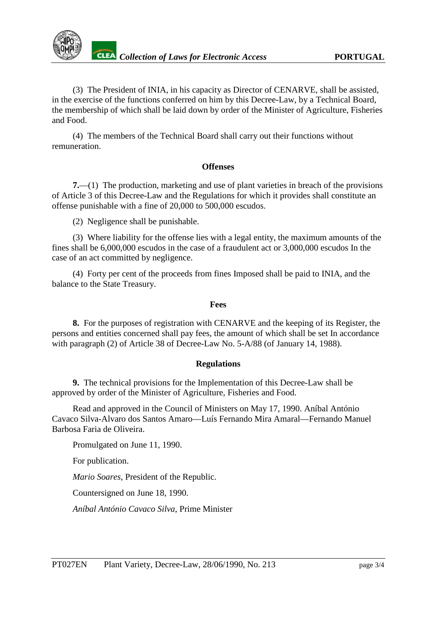

(3) The President of INIA, in his capacity as Director of CENARVE, shall be assisted, in the exercise of the functions conferred on him by this Decree-Law, by a Technical Board, the membership of which shall be laid down by order of the Minister of Agriculture, Fisheries and Food.

(4) The members of the Technical Board shall carry out their functions without remuneration.

#### **Offenses**

**7.**—(1) The production, marketing and use of plant varieties in breach of the provisions of Article 3 of this Decree-Law and the Regulations for which it provides shall constitute an offense punishable with a fine of 20,000 to 500,000 escudos.

(2) Negligence shall be punishable.

(3) Where liability for the offense lies with a legal entity, the maximum amounts of the fines shall be 6,000,000 escudos in the case of a fraudulent act or 3,000,000 escudos In the case of an act committed by negligence.

(4) Forty per cent of the proceeds from fines Imposed shall be paid to INIA, and the balance to the State Treasury.

#### **Fees**

**8.** For the purposes of registration with CENARVE and the keeping of its Register, the persons and entities concerned shall pay fees, the amount of which shall be set In accordance with paragraph (2) of Article 38 of Decree-Law No. 5-A/88 (of January 14, 1988).

### **Regulations**

**9.** The technical provisions for the Implementation of this Decree-Law shall be approved by order of the Minister of Agriculture, Fisheries and Food.

Read and approved in the Council of Ministers on May 17, 1990. Aníbal António Cavaco Silva-Alvaro dos Santos Amaro—Luís Fernando Mira Amaral—Fernando Manuel Barbosa Faria de Oliveira.

Promulgated on June 11, 1990.

For publication.

*Mario Soares*, President of the Republic.

Countersigned on June 18, 1990.

*Aníbal António Cavaco Silva*, Prime Minister